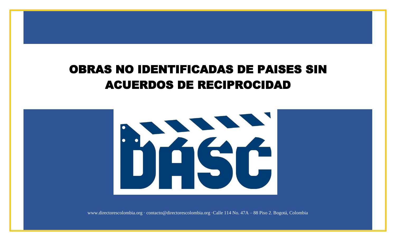## OBRAS NO IDENTIFICADAS DE PAISES SIN S NO IDENTIFICADAS DE PAISES <del>(</del><br>ACUERDOS DE RECIPROCIDAD



www.directorescolombia.org · contacto@directorescolombia.org ·Calle 114 No. 47A – 88 Piso 2. Bogotá, Colombia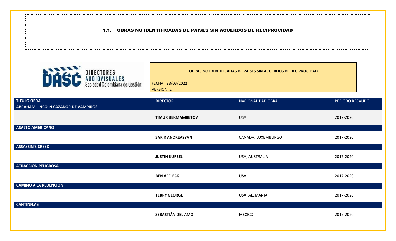## 1.1. OBRAS NO IDENTIFICADAS DE PAISES SIN ACUERDOS DE RECIPROCIDAD



**OBRAS NO IDENTIFICADAS DE PAISES SIN ACUERDOS DE RECIPROCIDAD** FECHA: 28/03/2022 VERSION: 2

| <b>TITULO OBRA</b><br>ABRAHAM LINCOLN CAZADOR DE VAMPIROS | <b>DIRECTOR</b>          | NACIONALIDAD OBRA  | PERIODO RECAUDO |
|-----------------------------------------------------------|--------------------------|--------------------|-----------------|
|                                                           | <b>TIMUR BEKMAMBETOV</b> | <b>USA</b>         | 2017-2020       |
| ASALTO AMERICANO                                          |                          |                    |                 |
|                                                           | <b>SARIK ANDREASYAN</b>  | CANADA, LUXEMBURGO | 2017-2020       |
| <b>ASSASSIN'S CREED</b>                                   |                          |                    |                 |
|                                                           | <b>JUSTIN KURZEL</b>     | USA, AUSTRALIA     | 2017-2020       |
| <b>ATRACCION PELIGROSA</b>                                |                          |                    |                 |
|                                                           | <b>BEN AFFLECK</b>       | <b>USA</b>         | 2017-2020       |
| <b>CAMINO A LA REDENCION</b>                              |                          |                    |                 |
|                                                           | <b>TERRY GEORGE</b>      | USA, ALEMANIA      | 2017-2020       |
| <b>CANTINFLAS</b>                                         |                          |                    |                 |
|                                                           | SEBASTIÁN DEL AMO        | <b>MEXICO</b>      | 2017-2020       |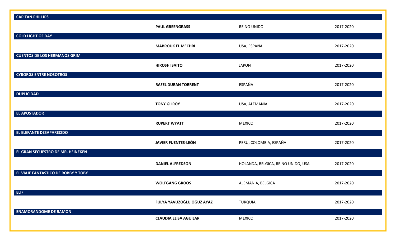| <b>CAPITAN PHILLIPS</b>             |                              |                                    |           |
|-------------------------------------|------------------------------|------------------------------------|-----------|
|                                     | <b>PAUL GREENGRASS</b>       | REINO UNIDO                        | 2017-2020 |
| <b>COLD LIGHT OF DAY</b>            |                              |                                    |           |
|                                     | <b>MABROUK EL MECHRI</b>     | USA, ESPAÑA                        | 2017-2020 |
| <b>CUENTOS DE LOS HERMANOS GRIM</b> |                              |                                    |           |
|                                     | <b>HIROSHI SAITO</b>         | <b>JAPON</b>                       | 2017-2020 |
| <b>CYBORGS ENTRE NOSOTROS</b>       |                              |                                    |           |
|                                     | <b>RAFEL DURAN TORRENT</b>   | ESPAÑA                             | 2017-2020 |
| <b>DUPLICIDAD</b>                   |                              |                                    |           |
|                                     | <b>TONY GILROY</b>           | USA, ALEMANIA                      | 2017-2020 |
| <b>EL APOSTADOR</b>                 |                              |                                    |           |
|                                     | <b>RUPERT WYATT</b>          | <b>MEXICO</b>                      | 2017-2020 |
| EL ELEFANTE DESAPARECIDO            |                              |                                    |           |
|                                     | <b>JAVIER FUENTES-LEÓN</b>   | PERU, COLOMBIA, ESPAÑA             | 2017-2020 |
| EL GRAN SECUESTRO DE MR. HEINEKEN   |                              |                                    |           |
|                                     | <b>DANIEL ALFREDSON</b>      | HOLANDA, BELGICA, REINO UNIDO, USA | 2017-2020 |
| EL VIAJE FANTASTICO DE ROBBY Y TOBY |                              |                                    |           |
|                                     | <b>WOLFGANG GROOS</b>        | ALEMANIA, BELGICA                  | 2017-2020 |
| ELIF                                |                              |                                    |           |
|                                     | FULYA YAVUZOĞLU OĞUZ AYAZ    | <b>TURQUIA</b>                     | 2017-2020 |
| <b>ENAMORANDOME DE RAMON</b>        |                              |                                    |           |
|                                     | <b>CLAUDIA ELISA AGUILAR</b> | <b>MEXICO</b>                      | 2017-2020 |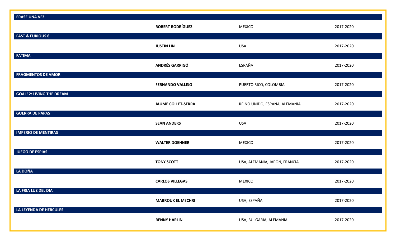| <b>ERASE UNA VEZ</b>             |                           |                               |           |
|----------------------------------|---------------------------|-------------------------------|-----------|
| <b>FAST &amp; FURIOUS 6</b>      | <b>ROBERT RODRÍGUEZ</b>   | <b>MEXICO</b>                 | 2017-2020 |
|                                  | <b>JUSTIN LIN</b>         | <b>USA</b>                    | 2017-2020 |
| <b>FATIMA</b>                    | <b>ANDRÉS GARRIGÓ</b>     | ESPAÑA                        | 2017-2020 |
| <b>FRAGMENTOS DE AMOR</b>        | <b>FERNANDO VALLEJO</b>   | PUERTO RICO, COLOMBIA         | 2017-2020 |
| <b>GOAL! 2: LIVING THE DREAM</b> | <b>JAUME COLLET-SERRA</b> | REINO UNIDO, ESPAÑA, ALEMANIA | 2017-2020 |
| <b>GUERRA DE PAPAS</b>           | <b>SEAN ANDERS</b>        | <b>USA</b>                    | 2017-2020 |
| <b>IMPERIO DE MENTIRAS</b>       | <b>WALTER DOEHNER</b>     | <b>MEXICO</b>                 | 2017-2020 |
| <b>JUEGO DE ESPIAS</b>           | <b>TONY SCOTT</b>         | USA, ALEMANIA, JAPON, FRANCIA | 2017-2020 |
| <b>LA DOÑA</b>                   | <b>CARLOS VILLEGAS</b>    | <b>MEXICO</b>                 | 2017-2020 |
| LA FRIA LUZ DEL DIA              | <b>MABROUK EL MECHRI</b>  | USA, ESPAÑA                   | 2017-2020 |
| LA LEYENDA DE HERCULES           | <b>RENNY HARLIN</b>       | USA, BULGARIA, ALEMANIA       | 2017-2020 |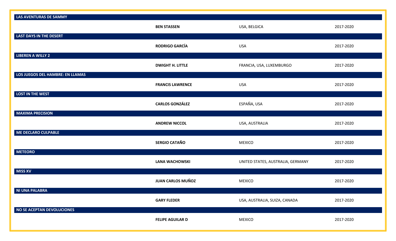| <b>LAS AVENTURAS DE SAMMY</b>     |                          |                                   |           |
|-----------------------------------|--------------------------|-----------------------------------|-----------|
|                                   | <b>BEN STASSEN</b>       | USA, BELGICA                      | 2017-2020 |
| <b>LAST DAYS IN THE DESERT</b>    |                          |                                   |           |
|                                   | <b>RODRIGO GARCÍA</b>    | <b>USA</b>                        | 2017-2020 |
| <b>LIBEREN A WILLY 2</b>          |                          |                                   |           |
|                                   | <b>DWIGHT H. LITTLE</b>  | FRANCIA, USA, LUXEMBURGO          | 2017-2020 |
| LOS JUEGOS DEL HAMBRE: EN LLAMAS  |                          |                                   |           |
|                                   | <b>FRANCIS LAWRENCE</b>  | <b>USA</b>                        | 2017-2020 |
| <b>LOST IN THE WEST</b>           |                          |                                   |           |
|                                   | <b>CARLOS GONZÁLEZ</b>   | ESPAÑA, USA                       | 2017-2020 |
| <b>MAXIMA PRECISION</b>           |                          |                                   |           |
|                                   | <b>ANDREW NICCOL</b>     | USA, AUSTRALIA                    | 2017-2020 |
| <b>ME DECLARO CULPABLE</b>        |                          |                                   |           |
|                                   | <b>SERGIO CATAÑO</b>     | <b>MEXICO</b>                     | 2017-2020 |
| <b>METEORO</b>                    |                          |                                   |           |
|                                   | <b>LANA WACHOWSKI</b>    | UNITED STATES, AUSTRALIA, GERMANY | 2017-2020 |
| <b>MISS XV</b>                    |                          |                                   |           |
|                                   | <b>JUAN CARLOS MUÑOZ</b> | <b>MEXICO</b>                     | 2017-2020 |
| NI UNA PALABRA                    |                          |                                   |           |
|                                   | <b>GARY FLEDER</b>       | USA, AUSTRALIA, SUIZA, CANADA     | 2017-2020 |
| <b>NO SE ACEPTAN DEVOLUCIONES</b> |                          |                                   |           |
|                                   | <b>FELIPE AGUILAR D</b>  | <b>MEXICO</b>                     | 2017-2020 |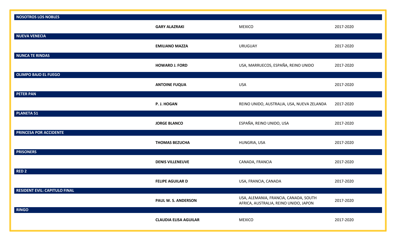| <b>NOSOTROS LOS NOBLES</b>           |                              |                                                                                |           |
|--------------------------------------|------------------------------|--------------------------------------------------------------------------------|-----------|
|                                      | <b>GARY ALAZRAKI</b>         | <b>MEXICO</b>                                                                  | 2017-2020 |
| <b>NUEVA VENECIA</b>                 |                              |                                                                                |           |
|                                      | <b>EMILIANO MAZZA</b>        | <b>URUGUAY</b>                                                                 | 2017-2020 |
| <b>NUNCA TE RINDAS</b>               |                              |                                                                                |           |
|                                      | <b>HOWARD J. FORD</b>        | USA, MARRUECOS, ESPAÑA, REINO UNIDO                                            | 2017-2020 |
| <b>OLIMPO BAJO EL FUEGO</b>          |                              |                                                                                |           |
|                                      | <b>ANTOINE FUQUA</b>         | <b>USA</b>                                                                     | 2017-2020 |
| <b>PETER PAN</b>                     |                              |                                                                                |           |
|                                      | P. J. HOGAN                  | REINO UNIDO, AUSTRALIA, USA, NUEVA ZELANDA                                     | 2017-2020 |
| <b>PLANETA 51</b>                    |                              |                                                                                |           |
|                                      | <b>JORGE BLANCO</b>          | ESPAÑA, REINO UNIDO, USA                                                       | 2017-2020 |
| PRINCESA POR ACCIDENTE               |                              |                                                                                |           |
|                                      | <b>THOMAS BEZUCHA</b>        | HUNGRIA, USA                                                                   | 2017-2020 |
| <b>PRISONERS</b>                     |                              |                                                                                |           |
|                                      | <b>DENIS VILLENEUVE</b>      | CANADA, FRANCIA                                                                | 2017-2020 |
| <b>RED 2</b>                         |                              |                                                                                |           |
|                                      | <b>FELIPE AGUILAR D</b>      | USA, FRANCIA, CANADA                                                           | 2017-2020 |
| <b>RESIDENT EVIL: CAPITULO FINAL</b> |                              |                                                                                |           |
|                                      | PAUL W. S. ANDERSON          | USA, ALEMANIA, FRANCIA, CANADA, SOUTH<br>AFRICA, AUSTRALIA, REINO UNIDO, JAPON | 2017-2020 |
| <b>RINGO</b>                         |                              |                                                                                |           |
|                                      | <b>CLAUDIA ELISA AGUILAR</b> | <b>MEXICO</b>                                                                  | 2017-2020 |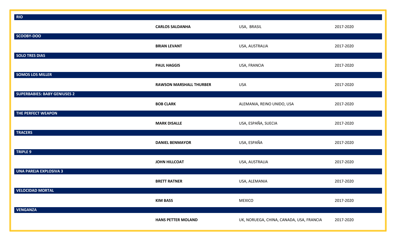| <b>RIO</b>                          |                                |                                          |           |
|-------------------------------------|--------------------------------|------------------------------------------|-----------|
|                                     | <b>CARLOS SALDANHA</b>         | USA, BRASIL                              | 2017-2020 |
| SCOOBY-DOO                          |                                |                                          |           |
|                                     | <b>BRIAN LEVANT</b>            | USA, AUSTRALIA                           | 2017-2020 |
| <b>SOLO TRES DIAS</b>               |                                |                                          |           |
|                                     | <b>PAUL HAGGIS</b>             | USA, FRANCIA                             | 2017-2020 |
| <b>SOMOS LOS MILLER</b>             |                                |                                          |           |
|                                     | <b>RAWSON MARSHALL THURBER</b> | <b>USA</b>                               | 2017-2020 |
| <b>SUPERBABIES: BABY GENIUSES 2</b> |                                |                                          |           |
|                                     | <b>BOB CLARK</b>               | ALEMANIA, REINO UNIDO, USA               | 2017-2020 |
| THE PERFECT WEAPON                  |                                |                                          |           |
|                                     | <b>MARK DISALLE</b>            | USA, ESPAÑA, SUECIA                      | 2017-2020 |
| <b>TRACERS</b>                      |                                |                                          |           |
|                                     | <b>DANIEL BENMAYOR</b>         | USA, ESPAÑA                              | 2017-2020 |
| TRIPLE 9                            |                                |                                          |           |
|                                     | <b>JOHN HILLCOAT</b>           | USA, AUSTRALIA                           | 2017-2020 |
| <b>UNA PAREJA EXPLOSIVA 3</b>       |                                |                                          |           |
|                                     | <b>BRETT RATNER</b>            | USA, ALEMANIA                            | 2017-2020 |
| <b>VELOCIDAD MORTAL</b>             |                                |                                          |           |
|                                     | <b>KIM BASS</b>                | <b>MEXICO</b>                            | 2017-2020 |
| <b>VENGANZA</b>                     |                                |                                          |           |
|                                     | <b>HANS PETTER MOLAND</b>      | UK, NORUEGA, CHINA, CANADA, USA, FRANCIA | 2017-2020 |